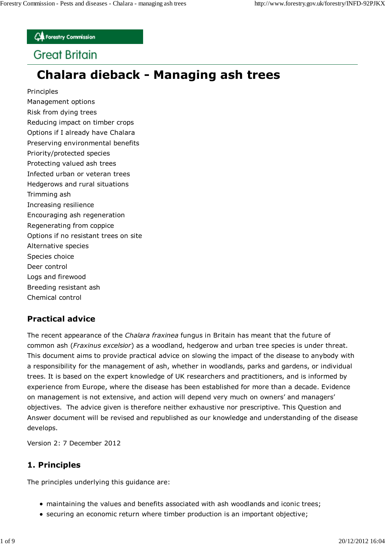**CA** Forestry Commission

## **Great Britain**

# **Chalara dieback - Managing ash trees**

Principles

Management options Risk from dying trees Reducing impact on timber crops Options if I already have Chalara Preserving environmental benefits Priority/protected species Protecting valued ash trees Infected urban or veteran trees Hedgerows and rural situations Trimming ash Increasing resilience Encouraging ash regeneration Regenerating from coppice Options if no resistant trees on site Alternative species Species choice Deer control Logs and firewood Breeding resistant ash Chemical control

## **Practical advice**

The recent appearance of the *Chalara fraxinea* fungus in Britain has meant that the future of common ash (*Fraxinus excelsior*) as a woodland, hedgerow and urban tree species is under threat. This document aims to provide practical advice on slowing the impact of the disease to anybody with a responsibility for the management of ash, whether in woodlands, parks and gardens, or individual trees. It is based on the expert knowledge of UK researchers and practitioners, and is informed by experience from Europe, where the disease has been established for more than a decade. Evidence on management is not extensive, and action will depend very much on owners' and managers' objectives. The advice given is therefore neither exhaustive nor prescriptive. This Question and Answer document will be revised and republished as our knowledge and understanding of the disease develops.

Version 2: 7 December 2012

#### **1. Principles**

The principles underlying this guidance are:

- maintaining the values and benefits associated with ash woodlands and iconic trees;
- securing an economic return where timber production is an important objective;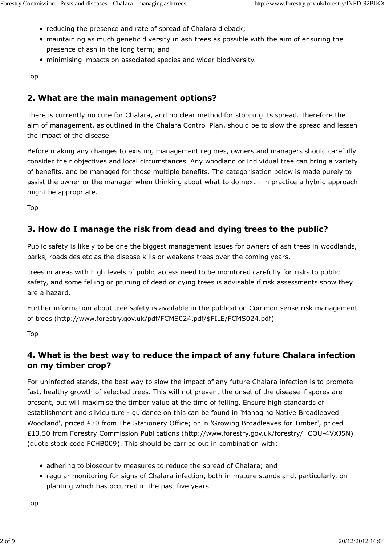- reducing the presence and rate of spread of Chalara dieback;
- maintaining as much genetic diversity in ash trees as possible with the aim of ensuring the presence of ash in the long term; and
- minimising impacts on associated species and wider biodiversity.

Top

#### **2. What are the main management options?**

There is currently no cure for Chalara, and no clear method for stopping its spread. Therefore the aim of management, as outlined in the Chalara Control Plan, should be to slow the spread and lessen the impact of the disease.

Before making any changes to existing management regimes, owners and managers should carefully consider their objectives and local circumstances. Any woodland or individual tree can bring a variety of benefits, and be managed for those multiple benefits. The categorisation below is made purely to assist the owner or the manager when thinking about what to do next - in practice a hybrid approach might be appropriate.

Top

#### **3. How do I manage the risk from dead and dying trees to the public?**

Public safety is likely to be one the biggest management issues for owners of ash trees in woodlands, parks, roadsides etc as the disease kills or weakens trees over the coming years.

Trees in areas with high levels of public access need to be monitored carefully for risks to public safety, and some felling or pruning of dead or dying trees is advisable if risk assessments show they are a hazard.

Further information about tree safety is available in the publication Common sense risk management of trees (http://www.forestry.gov.uk/pdf/FCMS024.pdf/\$FILE/FCMS024.pdf)

Top

#### **4. What is the best way to reduce the impact of any future Chalara infection on my timber crop?**

For uninfected stands, the best way to slow the impact of any future Chalara infection is to promote fast, healthy growth of selected trees. This will not prevent the onset of the disease if spores are present, but will maximise the timber value at the time of felling. Ensure high standards of establishment and silviculture - guidance on this can be found in 'Managing Native Broadleaved Woodland', priced £30 from The Stationery Office; or in 'Growing Broadleaves for Timber', priced £13.50 from Forestry Commission Publications (http://www.forestry.gov.uk/forestry/HCOU-4VXJ5N) (quote stock code FCHB009). This should be carried out in combination with:

- adhering to biosecurity measures to reduce the spread of Chalara; and
- regular monitoring for signs of Chalara infection, both in mature stands and, particularly, on planting which has occurred in the past five years.

Top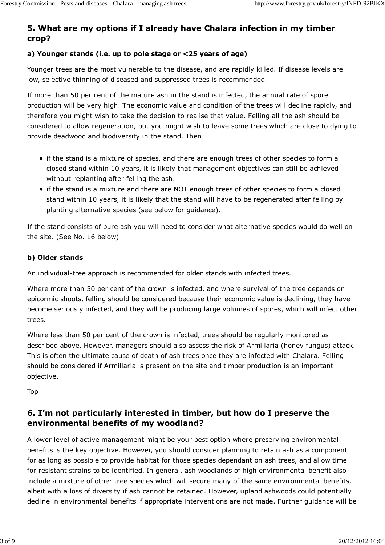## **5. What are my options if I already have Chalara infection in my timber crop?**

#### **a) Younger stands (i.e. up to pole stage or <25 years of age)**

Younger trees are the most vulnerable to the disease, and are rapidly killed. If disease levels are low, selective thinning of diseased and suppressed trees is recommended.

If more than 50 per cent of the mature ash in the stand is infected, the annual rate of spore production will be very high. The economic value and condition of the trees will decline rapidly, and therefore you might wish to take the decision to realise that value. Felling all the ash should be considered to allow regeneration, but you might wish to leave some trees which are close to dying to provide deadwood and biodiversity in the stand. Then:

- if the stand is a mixture of species, and there are enough trees of other species to form a closed stand within 10 years, it is likely that management objectives can still be achieved without replanting after felling the ash.
- if the stand is a mixture and there are NOT enough trees of other species to form a closed stand within 10 years, it is likely that the stand will have to be regenerated after felling by planting alternative species (see below for guidance).

If the stand consists of pure ash you will need to consider what alternative species would do well on the site. (See No. 16 below)

#### **b) Older stands**

An individual-tree approach is recommended for older stands with infected trees.

Where more than 50 per cent of the crown is infected, and where survival of the tree depends on epicormic shoots, felling should be considered because their economic value is declining, they have become seriously infected, and they will be producing large volumes of spores, which will infect other trees.

Where less than 50 per cent of the crown is infected, trees should be regularly monitored as described above. However, managers should also assess the risk of Armillaria (honey fungus) attack. This is often the ultimate cause of death of ash trees once they are infected with Chalara. Felling should be considered if Armillaria is present on the site and timber production is an important objective.

Top

#### **6. I'm not particularly interested in timber, but how do I preserve the environmental benefits of my woodland?**

A lower level of active management might be your best option where preserving environmental benefits is the key objective. However, you should consider planning to retain ash as a component for as long as possible to provide habitat for those species dependant on ash trees, and allow time for resistant strains to be identified. In general, ash woodlands of high environmental benefit also include a mixture of other tree species which will secure many of the same environmental benefits, albeit with a loss of diversity if ash cannot be retained. However, upland ashwoods could potentially decline in environmental benefits if appropriate interventions are not made. Further guidance will be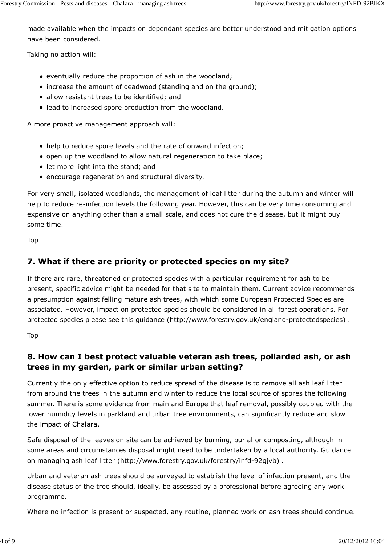made available when the impacts on dependant species are better understood and mitigation options have been considered.

Taking no action will:

- eventually reduce the proportion of ash in the woodland;
- increase the amount of deadwood (standing and on the ground);
- allow resistant trees to be identified; and
- lead to increased spore production from the woodland.

A more proactive management approach will:

- help to reduce spore levels and the rate of onward infection;
- open up the woodland to allow natural regeneration to take place;
- let more light into the stand; and
- encourage regeneration and structural diversity.

For very small, isolated woodlands, the management of leaf litter during the autumn and winter will help to reduce re-infection levels the following year. However, this can be very time consuming and expensive on anything other than a small scale, and does not cure the disease, but it might buy some time.

Top

## **7. What if there are priority or protected species on my site?**

If there are rare, threatened or protected species with a particular requirement for ash to be present, specific advice might be needed for that site to maintain them. Current advice recommends a presumption against felling mature ash trees, with which some European Protected Species are associated. However, impact on protected species should be considered in all forest operations. For protected species please see this guidance (http://www.forestry.gov.uk/england-protectedspecies) .

Top

## **8. How can I best protect valuable veteran ash trees, pollarded ash, or ash trees in my garden, park or similar urban setting?**

Currently the only effective option to reduce spread of the disease is to remove all ash leaf litter from around the trees in the autumn and winter to reduce the local source of spores the following summer. There is some evidence from mainland Europe that leaf removal, possibly coupled with the lower humidity levels in parkland and urban tree environments, can significantly reduce and slow the impact of Chalara.

Safe disposal of the leaves on site can be achieved by burning, burial or composting, although in some areas and circumstances disposal might need to be undertaken by a local authority. Guidance on managing ash leaf litter (http://www.forestry.gov.uk/forestry/infd-92gjvb) .

Urban and veteran ash trees should be surveyed to establish the level of infection present, and the disease status of the tree should, ideally, be assessed by a professional before agreeing any work programme.

Where no infection is present or suspected, any routine, planned work on ash trees should continue.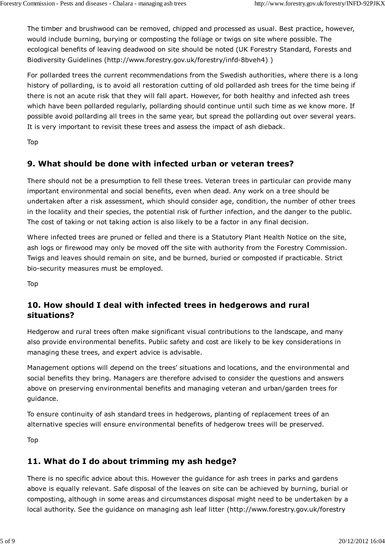The timber and brushwood can be removed, chipped and processed as usual. Best practice, however, would include burning, burying or composting the foliage or twigs on site where possible. The ecological benefits of leaving deadwood on site should be noted (UK Forestry Standard, Forests and Biodiversity Guidelines (http://www.forestry.gov.uk/forestry/infd-8bveh4) )

For pollarded trees the current recommendations from the Swedish authorities, where there is a long history of pollarding, is to avoid all restoration cutting of old pollarded ash trees for the time being if there is not an acute risk that they will fall apart. However, for both healthy and infected ash trees which have been pollarded regularly, pollarding should continue until such time as we know more. If possible avoid pollarding all trees in the same year, but spread the pollarding out over several years. It is very important to revisit these trees and assess the impact of ash dieback.

Top

#### **9. What should be done with infected urban or veteran trees?**

There should not be a presumption to fell these trees. Veteran trees in particular can provide many important environmental and social benefits, even when dead. Any work on a tree should be undertaken after a risk assessment, which should consider age, condition, the number of other trees in the locality and their species, the potential risk of further infection, and the danger to the public. The cost of taking or not taking action is also likely to be a factor in any final decision.

Where infected trees are pruned or felled and there is a Statutory Plant Health Notice on the site, ash logs or firewood may only be moved off the site with authority from the Forestry Commission. Twigs and leaves should remain on site, and be burned, buried or composted if practicable. Strict bio-security measures must be employed.

Top

#### **10. How should I deal with infected trees in hedgerows and rural situations?**

Hedgerow and rural trees often make significant visual contributions to the landscape, and many also provide environmental benefits. Public safety and cost are likely to be key considerations in managing these trees, and expert advice is advisable.

Management options will depend on the trees' situations and locations, and the environmental and social benefits they bring. Managers are therefore advised to consider the questions and answers above on preserving environmental benefits and managing veteran and urban/garden trees for guidance.

To ensure continuity of ash standard trees in hedgerows, planting of replacement trees of an alternative species will ensure environmental benefits of hedgerow trees will be preserved.

Top

#### **11. What do I do about trimming my ash hedge?**

There is no specific advice about this. However the guidance for ash trees in parks and gardens above is equally relevant. Safe disposal of the leaves on site can be achieved by burning, burial or composting, although in some areas and circumstances disposal might need to be undertaken by a local authority. See the guidance on managing ash leaf litter (http://www.forestry.gov.uk/forestry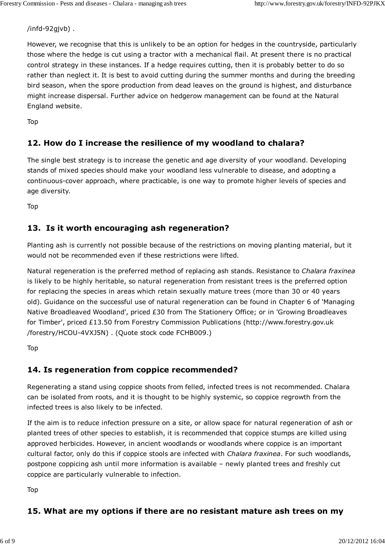/infd-92gjvb) .

However, we recognise that this is unlikely to be an option for hedges in the countryside, particularly those where the hedge is cut using a tractor with a mechanical flail. At present there is no practical control strategy in these instances. If a hedge requires cutting, then it is probably better to do so rather than neglect it. It is best to avoid cutting during the summer months and during the breeding bird season, when the spore production from dead leaves on the ground is highest, and disturbance might increase dispersal. Further advice on hedgerow management can be found at the Natural England website.

Top

#### **12. How do I increase the resilience of my woodland to chalara?**

The single best strategy is to increase the genetic and age diversity of your woodland. Developing stands of mixed species should make your woodland less vulnerable to disease, and adopting a continuous-cover approach, where practicable, is one way to promote higher levels of species and age diversity.

Top

#### **13. Is it worth encouraging ash regeneration?**

Planting ash is currently not possible because of the restrictions on moving planting material, but it would not be recommended even if these restrictions were lifted.

Natural regeneration is the preferred method of replacing ash stands. Resistance to *Chalara fraxinea* is likely to be highly heritable, so natural regeneration from resistant trees is the preferred option for replacing the species in areas which retain sexually mature trees (more than 30 or 40 years old). Guidance on the successful use of natural regeneration can be found in Chapter 6 of 'Managing Native Broadleaved Woodland', priced £30 from The Stationery Office; or in 'Growing Broadleaves for Timber', priced £13.50 from Forestry Commission Publications (http://www.forestry.gov.uk /forestry/HCOU-4VXJ5N) . (Quote stock code FCHB009.)

Top

#### **14. Is regeneration from coppice recommended?**

Regenerating a stand using coppice shoots from felled, infected trees is not recommended. Chalara can be isolated from roots, and it is thought to be highly systemic, so coppice regrowth from the infected trees is also likely to be infected.

If the aim is to reduce infection pressure on a site, or allow space for natural regeneration of ash or planted trees of other species to establish, it is recommended that coppice stumps are killed using approved herbicides. However, in ancient woodlands or woodlands where coppice is an important cultural factor, only do this if coppice stools are infected with *Chalara fraxinea*. For such woodlands, postpone coppicing ash until more information is available – newly planted trees and freshly cut coppice are particularly vulnerable to infection.

Top

#### **15. What are my options if there are no resistant mature ash trees on my**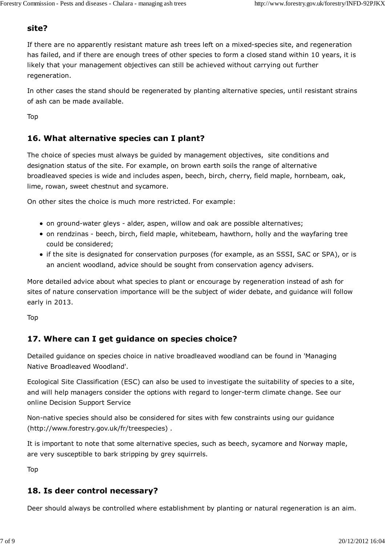#### **site?**

If there are no apparently resistant mature ash trees left on a mixed-species site, and regeneration has failed, and if there are enough trees of other species to form a closed stand within 10 years, it is likely that your management objectives can still be achieved without carrying out further regeneration.

In other cases the stand should be regenerated by planting alternative species, until resistant strains of ash can be made available.

Top

#### **16. What alternative species can I plant?**

The choice of species must always be guided by management objectives, site conditions and designation status of the site. For example, on brown earth soils the range of alternative broadleaved species is wide and includes aspen, beech, birch, cherry, field maple, hornbeam, oak, lime, rowan, sweet chestnut and sycamore.

On other sites the choice is much more restricted. For example:

- on ground-water gleys alder, aspen, willow and oak are possible alternatives;
- on rendzinas beech, birch, field maple, whitebeam, hawthorn, holly and the wayfaring tree could be considered;
- if the site is designated for conservation purposes (for example, as an SSSI, SAC or SPA), or is an ancient woodland, advice should be sought from conservation agency advisers.

More detailed advice about what species to plant or encourage by regeneration instead of ash for sites of nature conservation importance will be the subject of wider debate, and guidance will follow early in 2013.

Top

## **17. Where can I get guidance on species choice?**

Detailed guidance on species choice in native broadleaved woodland can be found in 'Managing Native Broadleaved Woodland'.

Ecological Site Classification (ESC) can also be used to investigate the suitability of species to a site, and will help managers consider the options with regard to longer-term climate change. See our online Decision Support Service

Non-native species should also be considered for sites with few constraints using our guidance (http://www.forestry.gov.uk/fr/treespecies) .

It is important to note that some alternative species, such as beech, sycamore and Norway maple, are very susceptible to bark stripping by grey squirrels.

Top

#### **18. Is deer control necessary?**

Deer should always be controlled where establishment by planting or natural regeneration is an aim.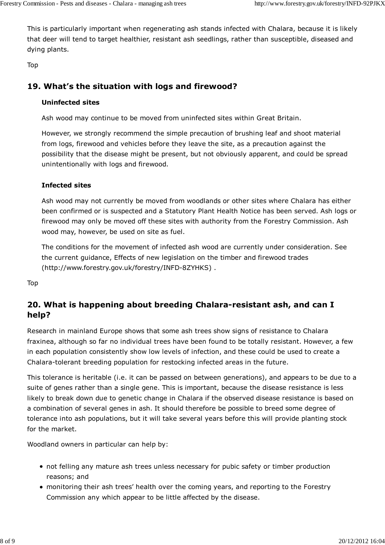This is particularly important when regenerating ash stands infected with Chalara, because it is likely that deer will tend to target healthier, resistant ash seedlings, rather than susceptible, diseased and dying plants.

Top

#### **19. What's the situation with logs and firewood?**

#### **Uninfected sites**

Ash wood may continue to be moved from uninfected sites within Great Britain.

However, we strongly recommend the simple precaution of brushing leaf and shoot material from logs, firewood and vehicles before they leave the site, as a precaution against the possibility that the disease might be present, but not obviously apparent, and could be spread unintentionally with logs and firewood.

#### **Infected sites**

Ash wood may not currently be moved from woodlands or other sites where Chalara has either been confirmed or is suspected and a Statutory Plant Health Notice has been served. Ash logs or firewood may only be moved off these sites with authority from the Forestry Commission. Ash wood may, however, be used on site as fuel.

The conditions for the movement of infected ash wood are currently under consideration. See the current guidance, Effects of new legislation on the timber and firewood trades (http://www.forestry.gov.uk/forestry/INFD-8ZYHKS) .

Top

## **20. What is happening about breeding Chalara-resistant ash, and can I help?**

Research in mainland Europe shows that some ash trees show signs of resistance to Chalara fraxinea, although so far no individual trees have been found to be totally resistant. However, a few in each population consistently show low levels of infection, and these could be used to create a Chalara-tolerant breeding population for restocking infected areas in the future.

This tolerance is heritable (i.e. it can be passed on between generations), and appears to be due to a suite of genes rather than a single gene. This is important, because the disease resistance is less likely to break down due to genetic change in Chalara if the observed disease resistance is based on a combination of several genes in ash. It should therefore be possible to breed some degree of tolerance into ash populations, but it will take several years before this will provide planting stock for the market.

Woodland owners in particular can help by:

- not felling any mature ash trees unless necessary for pubic safety or timber production reasons; and
- monitoring their ash trees' health over the coming years, and reporting to the Forestry Commission any which appear to be little affected by the disease.